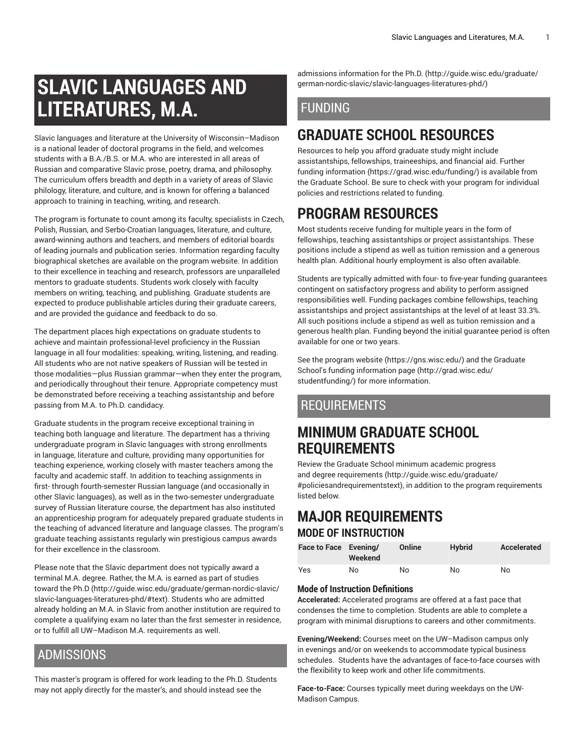# **SLAVIC LANGUAGES AND LITERATURES, M.A.**

Slavic languages and literature at the University of Wisconsin–Madison is a national leader of doctoral programs in the field, and welcomes students with a B.A./B.S. or M.A. who are interested in all areas of Russian and comparative Slavic prose, poetry, drama, and philosophy. The curriculum offers breadth and depth in a variety of areas of Slavic philology, literature, and culture, and is known for offering a balanced approach to training in teaching, writing, and research.

The program is fortunate to count among its faculty, specialists in Czech, Polish, Russian, and Serbo-Croatian languages, literature, and culture, award-winning authors and teachers, and members of editorial boards of leading journals and publication series. Information regarding faculty biographical sketches are available on the program website. In addition to their excellence in teaching and research, professors are unparalleled mentors to graduate students. Students work closely with faculty members on writing, teaching, and publishing. Graduate students are expected to produce publishable articles during their graduate careers, and are provided the guidance and feedback to do so.

The department places high expectations on graduate students to achieve and maintain professional-level proficiency in the Russian language in all four modalities: speaking, writing, listening, and reading. All students who are not native speakers of Russian will be tested in those modalities—plus Russian grammar—when they enter the program, and periodically throughout their tenure. Appropriate competency must be demonstrated before receiving a teaching assistantship and before passing from M.A. to Ph.D. candidacy.

Graduate students in the program receive exceptional training in teaching both language and literature. The department has a thriving undergraduate program in Slavic languages with strong enrollments in language, literature and culture, providing many opportunities for teaching experience, working closely with master teachers among the faculty and academic staff. In addition to teaching assignments in first- through fourth-semester Russian language (and occasionally in other Slavic languages), as well as in the two-semester undergraduate survey of Russian literature course, the department has also instituted an apprenticeship program for adequately prepared graduate students in the teaching of advanced literature and language classes. The program's graduate teaching assistants regularly win prestigious campus awards for their excellence in the classroom.

Please note that the Slavic department does not typically award a terminal M.A. degree. Rather, the M.A. is earned as part of studies toward the [Ph.D \(http://guide.wisc.edu/graduate/german-nordic-slavic/](http://guide.wisc.edu/graduate/german-nordic-slavic/slavic-languages-literatures-phd/#text) [slavic-languages-literatures-phd/#text\)](http://guide.wisc.edu/graduate/german-nordic-slavic/slavic-languages-literatures-phd/#text). Students who are admitted already holding an M.A. in Slavic from another institution are required to complete a qualifying exam no later than the first semester in residence, or to fulfill all UW–Madison M.A. requirements as well.

### ADMISSIONS

This master's program is offered for work leading to the Ph.D. Students may not apply directly for the master's, and should instead see the

admissions [information](http://guide.wisc.edu/graduate/german-nordic-slavic/slavic-languages-literatures-phd/) for the Ph.D. ([http://guide.wisc.edu/graduate/](http://guide.wisc.edu/graduate/german-nordic-slavic/slavic-languages-literatures-phd/) [german-nordic-slavic/slavic-languages-literatures-phd/](http://guide.wisc.edu/graduate/german-nordic-slavic/slavic-languages-literatures-phd/))

### FUNDING

# **GRADUATE SCHOOL RESOURCES**

Resources to help you afford graduate study might include assistantships, fellowships, traineeships, and financial aid. [Further](https://grad.wisc.edu/funding/) [funding information \(https://grad.wisc.edu/funding/](https://grad.wisc.edu/funding/)) is available from the Graduate School. Be sure to check with your program for individual policies and restrictions related to funding.

# **PROGRAM RESOURCES**

Most students receive funding for multiple years in the form of fellowships, teaching assistantships or project assistantships. These positions include a stipend as well as tuition remission and a generous health plan. Additional hourly employment is also often available.

Students are typically admitted with four- to five-year funding guarantees contingent on satisfactory progress and ability to perform assigned responsibilities well. Funding packages combine fellowships, teaching assistantships and project assistantships at the level of at least 33.3%. All such positions include a stipend as well as tuition remission and a generous health plan. Funding beyond the initial guarantee period is often available for one or two years.

See the [program](https://gns.wisc.edu/) website [\(https://gns.wisc.edu/](https://gns.wisc.edu/)) and the Graduate School's [funding information page \(http://grad.wisc.edu/](http://grad.wisc.edu/studentfunding/) [studentfunding/\)](http://grad.wisc.edu/studentfunding/) for more information.

## REQUIREMENTS

# **MINIMUM GRADUATE SCHOOL REQUIREMENTS**

Review the Graduate School minimum [academic](http://guide.wisc.edu/graduate/#policiesandrequirementstext) progress and degree [requirements \(http://guide.wisc.edu/graduate/](http://guide.wisc.edu/graduate/#policiesandrequirementstext) [#policiesandrequirementstext\)](http://guide.wisc.edu/graduate/#policiesandrequirementstext), in addition to the program requirements listed below.

### **MAJOR REQUIREMENTS MODE OF INSTRUCTION**

#### **Face to Face Evening/ Weekend Online Hybrid Accelerated** Yes No No No No

#### **Mode of Instruction Definitions**

**Accelerated:** Accelerated programs are offered at a fast pace that condenses the time to completion. Students are able to complete a program with minimal disruptions to careers and other commitments.

**Evening/Weekend:** Courses meet on the UW–Madison campus only in evenings and/or on weekends to accommodate typical business schedules. Students have the advantages of face-to-face courses with the flexibility to keep work and other life commitments.

**Face-to-Face:** Courses typically meet during weekdays on the UW-Madison Campus.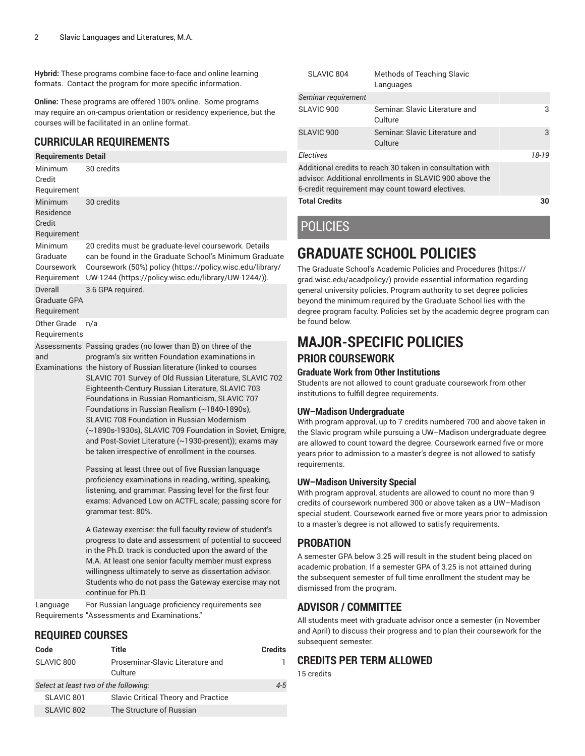**Hybrid:** These programs combine face-to-face and online learning formats. Contact the program for more specific information.

**Online:** These programs are offered 100% online. Some programs may require an on-campus orientation or residency experience, but the courses will be facilitated in an online format.

#### **CURRICULAR REQUIREMENTS**

#### **Requirements Detail** Minimum Credit Requirement 30 credits Minimum Residence Credit Requirement 30 credits Minimum Graduate Coursework **Requirement** 20 credits must be graduate-level coursework. Details can be found in the Graduate School's Minimum Graduate Coursework (50%) policy ([https://policy.wisc.edu/library/](https://policy.wisc.edu/library/UW-1244/) [UW-1244](https://policy.wisc.edu/library/UW-1244/) (<https://policy.wisc.edu/library/UW-1244/>)). **Overall** Graduate GPA Requirement 3.6 GPA required. Other Grade Requirements n/a Assessments Passing grades (no lower than B) on three of the and Examinations the history of Russian literature (linked to courses program's six written Foundation examinations in SLAVIC 701 Survey of Old Russian Literature, SLAVIC 702 Eighteenth-Century Russian Literature, SLAVIC 703 Foundations in Russian Romanticism, SLAVIC 707 Foundations in Russian Realism (~1840-1890s), SLAVIC 708 Foundation in Russian Modernism (~1890s-1930s), SLAVIC 709 Foundation in Soviet, Emigre, and Post-Soviet Literature (~1930-present)); exams may be taken irrespective of enrollment in the courses. Passing at least three out of five Russian language

proficiency examinations in reading, writing, speaking, listening, and grammar. Passing level for the first four exams: Advanced Low on ACTFL scale; passing score for grammar test: 80%.

A Gateway exercise: the full faculty review of student's progress to date and assessment of potential to succeed in the Ph.D. track is conducted upon the award of the M.A. At least one senior faculty member must express willingness ultimately to serve as dissertation advisor. Students who do not pass the Gateway exercise may not continue for Ph.D.

Language Requirements "Assessments and Examinations." For Russian language proficiency requirements see

#### **REQUIRED COURSES**

| Code                                  | Title                                       | Credits |
|---------------------------------------|---------------------------------------------|---------|
| SLAVIC 800                            | Proseminar-Slavic Literature and<br>Culture |         |
| Select at least two of the following: |                                             | 4-5     |
| SLAVIC 801                            | <b>Slavic Critical Theory and Practice</b>  |         |
| SLAVIC 802                            | The Structure of Russian                    |         |
|                                       |                                             |         |

| SLAVIC 804                                                                                                                                                               | <b>Methods of Teaching Slavic</b><br>Languages |       |
|--------------------------------------------------------------------------------------------------------------------------------------------------------------------------|------------------------------------------------|-------|
| Seminar requirement                                                                                                                                                      |                                                |       |
| SLAVIC 900                                                                                                                                                               | Seminar, Slavic Literature and<br>Culture      | 3     |
| SLAVIC <sub>900</sub>                                                                                                                                                    | Seminar, Slavic Literature and<br>Culture      | 3     |
| <b>Flectives</b>                                                                                                                                                         |                                                | 18-19 |
| Additional credits to reach 30 taken in consultation with<br>advisor. Additional enrollments in SLAVIC 900 above the<br>6-credit requirement may count toward electives. |                                                |       |
| <b>Total Credits</b>                                                                                                                                                     |                                                | 30    |

# POLICIES

# **GRADUATE SCHOOL POLICIES**

The Graduate School's Academic Policies and [Procedures \(https://](https://grad.wisc.edu/acadpolicy/) [grad.wisc.edu/acadpolicy/](https://grad.wisc.edu/acadpolicy/)) provide essential information regarding general university policies. Program authority to set degree policies beyond the minimum required by the Graduate School lies with the degree program faculty. Policies set by the academic degree program can be found below.

### **MAJOR-SPECIFIC POLICIES PRIOR COURSEWORK**

#### **Graduate Work from Other Institutions**

Students are not allowed to count graduate coursework from other institutions to fulfill degree requirements.

#### **UW–Madison Undergraduate**

With program approval, up to 7 credits numbered 700 and above taken in the Slavic program while pursuing a UW–Madison undergraduate degree are allowed to count toward the degree. Coursework earned five or more years prior to admission to a master's degree is not allowed to satisfy requirements.

#### **UW–Madison University Special**

With program approval, students are allowed to count no more than 9 credits of coursework numbered 300 or above taken as a UW–Madison special student. Coursework earned five or more years prior to admission to a master's degree is not allowed to satisfy requirements.

#### **PROBATION**

A semester GPA below 3.25 will result in the student being placed on academic probation. If a semester GPA of 3.25 is not attained during the subsequent semester of full time enrollment the student may be dismissed from the program.

#### **ADVISOR / COMMITTEE**

All students meet with graduate advisor once a semester (in November and April) to discuss their progress and to plan their coursework for the subsequent semester.

#### **CREDITS PER TERM ALLOWED**

15 credits